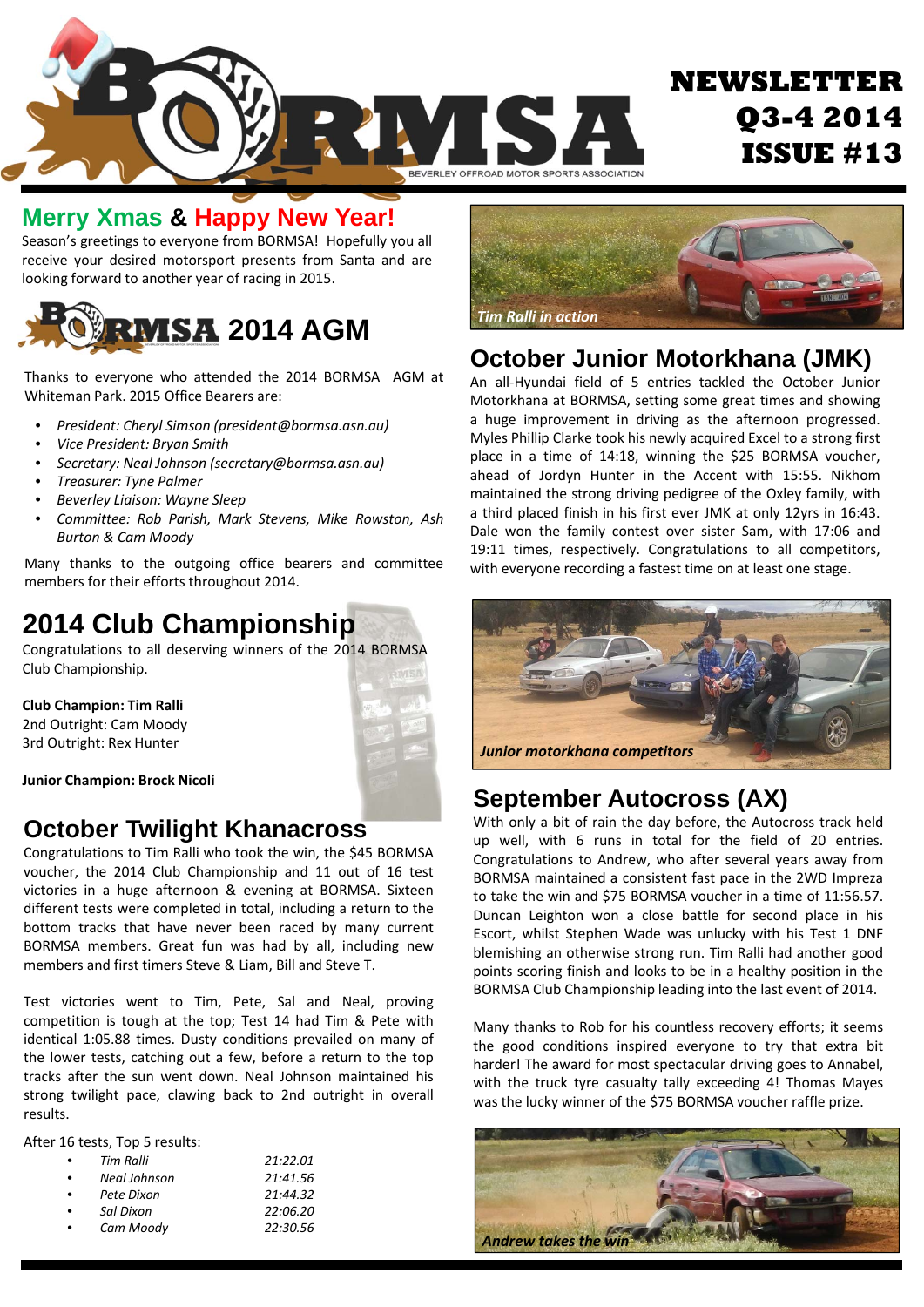

### **Merry Xmas & Happy New Year!**

Season's greetings to everyone from BORMSA! Hopefully you all receive your desired motorsport presents from Santa and are looking forward to another year of racing in 2015.



Thanks to everyone who attended the 2014 BORMSA AGM at Whiteman Park. 2015 Office Bearers are:

- *President: Cheryl Simson (president@bormsa.asn.au)*
- *Vice President: Bryan Smith*
- *Secretary: Neal Johnson (secretary@bormsa.asn.au)*
- *Treasurer: Tyne Palmer*
- *Beverley Liaison: Wayne Sleep*
- *Committee: Rob Parish, Mark Stevens, Mike Rowston, Ash Burton & Cam Moody*

Many thanks to the outgoing office bearers and committee members for their efforts throughout 2014.

# **2014 Club Championship**

Congratulations to all deserving winners of the 2014 BORMSA Club Championship.

**Club Champion: Tim Ralli** 2nd Outright: Cam Moody 3rd Outright: Rex Hunter



**Junior Champion: Brock Nicoli**

### **October Twilight Khanacross**

Congratulations to Tim Ralli who took the win, the \$45 BORMSA voucher, the 2014 Club Championship and 11 out of 16 test victories in a huge afternoon & evening at BORMSA. Sixteen different tests were completed in total, including a return to the bottom tracks that have never been raced by many current BORMSA members. Great fun was had by all, including new members and first timers Steve & Liam, Bill and Steve T.

Test victories went to Tim, Pete, Sal and Neal, proving competition is tough at the top; Test 14 had Tim & Pete with identical 1:05.88 times. Dusty conditions prevailed on many of the lower tests, catching out a few, before a return to the top tracks after the sun went down. Neal Johnson maintained his strong twilight pace, clawing back to 2nd outright in overall results.

After 16 tests, Top 5 results:

|   | Tim Ralli    | 21:22.01 |
|---|--------------|----------|
| ٠ | Neal Johnson | 21:41.56 |
| ٠ | Pete Dixon   | 21:44.32 |
| ٠ | Sal Dixon    | 22:06.20 |
| ٠ | Cam Moody    | 22:30.56 |



### **October Junior Motorkhana (JMK)**

An all‐Hyundai field of 5 entries tackled the October Junior Motorkhana at BORMSA, setting some great times and showing a huge improvement in driving as the afternoon progressed. Myles Phillip Clarke took his newly acquired Excel to a strong first place in a time of 14:18, winning the \$25 BORMSA voucher, ahead of Jordyn Hunter in the Accent with 15:55. Nikhom maintained the strong driving pedigree of the Oxley family, with a third placed finish in his first ever JMK at only 12yrs in 16:43. Dale won the family contest over sister Sam, with 17:06 and 19:11 times, respectively. Congratulations to all competitors, with everyone recording a fastest time on at least one stage.



## **September Autocross (AX)**

With only a bit of rain the day before, the Autocross track held up well, with 6 runs in total for the field of 20 entries. Congratulations to Andrew, who after several years away from BORMSA maintained a consistent fast pace in the 2WD Impreza to take the win and \$75 BORMSA voucher in a time of 11:56.57. Duncan Leighton won a close battle for second place in his Escort, whilst Stephen Wade was unlucky with his Test 1 DNF blemishing an otherwise strong run. Tim Ralli had another good points scoring finish and looks to be in a healthy position in the BORMSA Club Championship leading into the last event of 2014.

Many thanks to Rob for his countless recovery efforts; it seems the good conditions inspired everyone to try that extra bit harder! The award for most spectacular driving goes to Annabel, with the truck tyre casualty tally exceeding 4! Thomas Mayes was the lucky winner of the \$75 BORMSA voucher raffle prize.